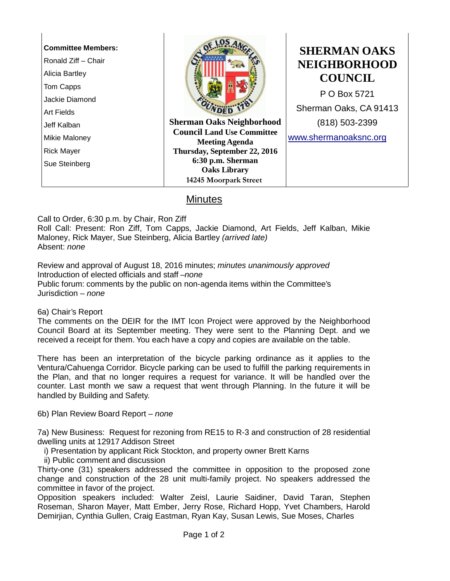| <b>Committee Members:</b><br>Ronald Ziff - Chair<br>Alicia Bartley<br>Tom Capps |                                                            | <b>SHERMAN OAKS</b><br><b>NEIGHBORHOOD</b><br><b>COUNCIL</b> |
|---------------------------------------------------------------------------------|------------------------------------------------------------|--------------------------------------------------------------|
| Jackie Diamond                                                                  |                                                            | P O Box 5721                                                 |
| Art Fields                                                                      |                                                            | Sherman Oaks, CA 91413                                       |
| Jeff Kalban                                                                     | <b>Sherman Oaks Neighborhood</b>                           | (818) 503-2399                                               |
| Mikie Maloney                                                                   | <b>Council Land Use Committee</b><br><b>Meeting Agenda</b> | www.shermanoaksnc.org                                        |
| <b>Rick Mayer</b>                                                               | Thursday, September 22, 2016                               |                                                              |
| Sue Steinberg                                                                   | 6:30 p.m. Sherman                                          |                                                              |
|                                                                                 | <b>Oaks Library</b>                                        |                                                              |
|                                                                                 | 14245 Moorpark Street                                      |                                                              |
| $Min$ utoc                                                                      |                                                            |                                                              |

## <u>Minutes</u>

Call to Order, 6:30 p.m. by Chair, Ron Ziff

Roll Call: Present: Ron Ziff, Tom Capps, Jackie Diamond, Art Fields, Jeff Kalban, Mikie Maloney, Rick Mayer, Sue Steinberg, Alicia Bartley *(arrived late)* Absent: *none*

Review and approval of August 18, 2016 minutes; *minutes unanimously approved* Introduction of elected officials and staff –*none* Public forum: comments by the public on non-agenda items within the Committee's Jurisdiction – *none*

6a) Chair's Report

The comments on the DEIR for the IMT Icon Project were approved by the Neighborhood Council Board at its September meeting. They were sent to the Planning Dept. and we received a receipt for them. You each have a copy and copies are available on the table.

There has been an interpretation of the bicycle parking ordinance as it applies to the Ventura/Cahuenga Corridor. Bicycle parking can be used to fulfill the parking requirements in the Plan, and that no longer requires a request for variance. It will be handled over the counter. Last month we saw a request that went through Planning. In the future it will be handled by Building and Safety.

6b) Plan Review Board Report – *none*

7a) New Business: Request for rezoning from RE15 to R-3 and construction of 28 residential dwelling units at 12917 Addison Street

i) Presentation by applicant Rick Stockton, and property owner Brett Karns

ii) Public comment and discussion

Thirty-one (31) speakers addressed the committee in opposition to the proposed zone change and construction of the 28 unit multi-family project. No speakers addressed the committee in favor of the project.

Opposition speakers included: Walter Zeisl, Laurie Saidiner, David Taran, Stephen Roseman, Sharon Mayer, Matt Ember, Jerry Rose, Richard Hopp, Yvet Chambers, Harold Demirjian, Cynthia Gullen, Craig Eastman, Ryan Kay, Susan Lewis, Sue Moses, Charles